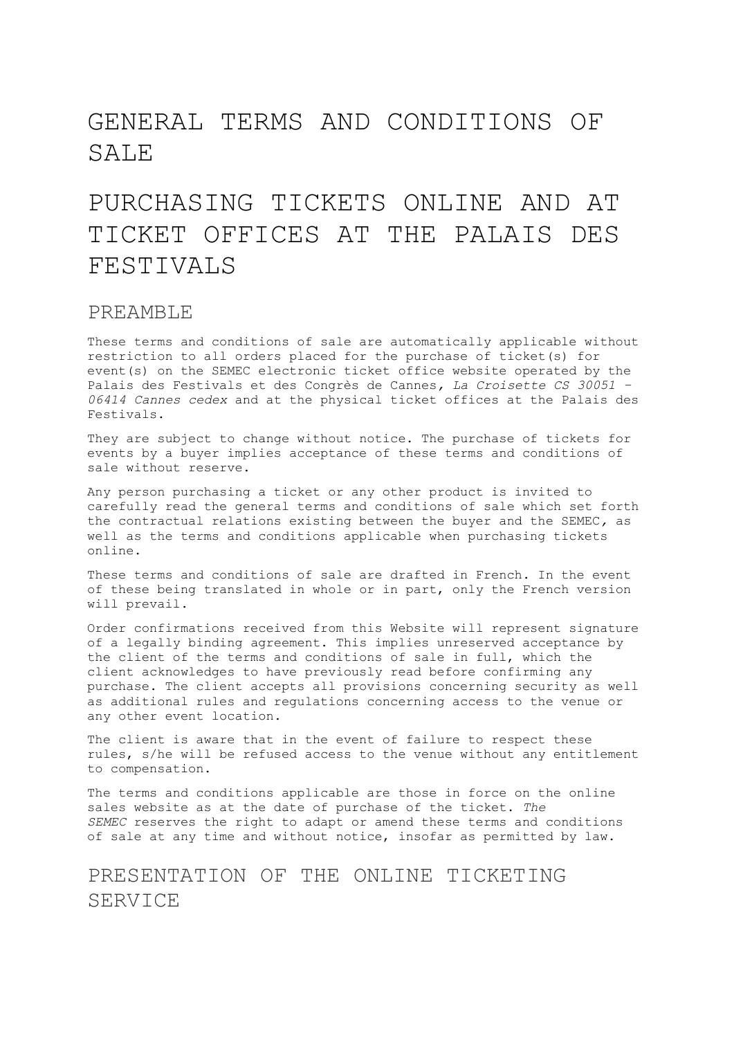# GENERAL TERMS AND CONDITIONS OF SALE

# PURCHASING TICKETS ONLINE AND AT TICKET OFFICES AT THE PALAIS DES FESTIVALS

### PREAMBLE

These terms and conditions of sale are automatically applicable without restriction to all orders placed for the purchase of ticket(s) for event(s) on the SEMEC electronic ticket office website operated by the Palais des Festivals et des Congrès de Cannes*, La Croisette CS 30051 – 06414 Cannes cedex* and at the physical ticket offices at the Palais des Festivals.

They are subject to change without notice. The purchase of tickets for events by a buyer implies acceptance of these terms and conditions of sale without reserve.

Any person purchasing a ticket or any other product is invited to carefully read the general terms and conditions of sale which set forth the contractual relations existing between the buyer and the SEMEC*,* as well as the terms and conditions applicable when purchasing tickets online.

These terms and conditions of sale are drafted in French. In the event of these being translated in whole or in part, only the French version will prevail.

Order confirmations received from this Website will represent signature of a legally binding agreement. This implies unreserved acceptance by the client of the terms and conditions of sale in full, which the client acknowledges to have previously read before confirming any purchase. The client accepts all provisions concerning security as well as additional rules and regulations concerning access to the venue or any other event location.

The client is aware that in the event of failure to respect these rules, s/he will be refused access to the venue without any entitlement to compensation.

The terms and conditions applicable are those in force on the online sales website as at the date of purchase of the ticket. *The SEMEC* reserves the right to adapt or amend these terms and conditions of sale at any time and without notice, insofar as permitted by law.

# PRESENTATION OF THE ONLINE TICKETING SERVICE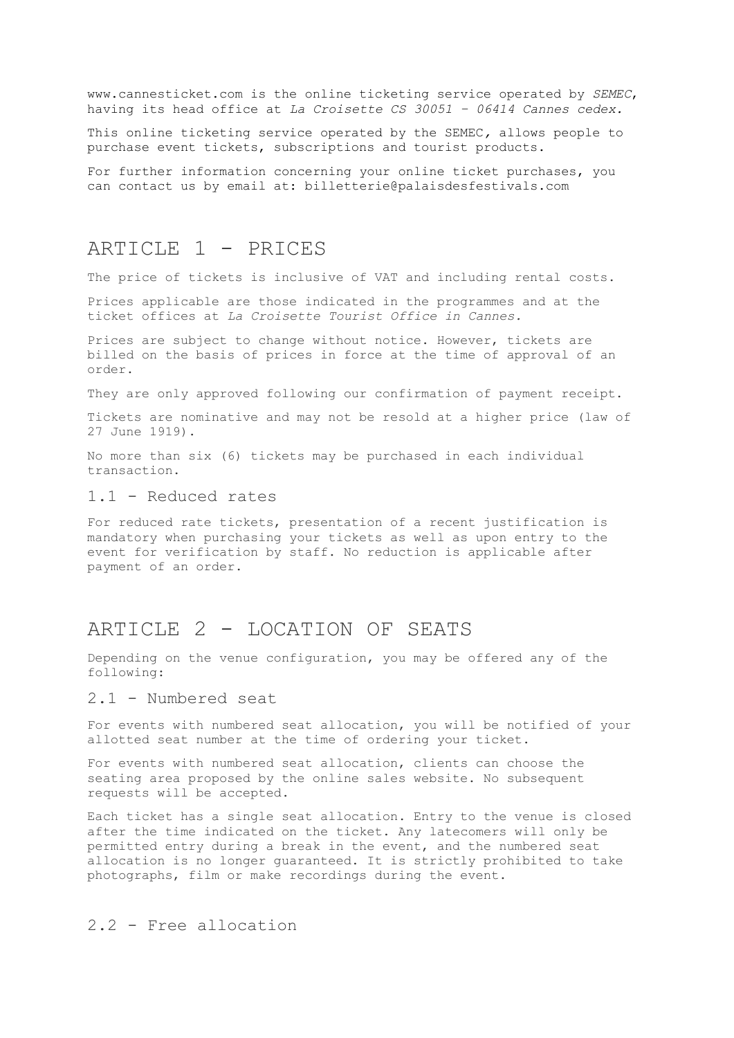www.cannesticket.com is the online ticketing service operated by *SEMEC*, having its head office at *La Croisette CS 30051 – 06414 Cannes cedex.*

This online ticketing service operated by the SEMEC*,* allows people to purchase event tickets, subscriptions and tourist products.

For further information concerning your online ticket purchases, you can contact us by email at: [billetterie@palaisdesfestivals.com](mailto:billetterie@palaisdesfestivals.com)

### ARTICLE 1 - PRICES

The price of tickets is inclusive of VAT and including rental costs.

Prices applicable are those indicated in the programmes and at the ticket offices at *La Croisette Tourist Office in Cannes.*

Prices are subject to change without notice. However, tickets are billed on the basis of prices in force at the time of approval of an order.

They are only approved following our confirmation of payment receipt.

Tickets are nominative and may not be resold at a higher price (law of 27 June 1919).

No more than six (6) tickets may be purchased in each individual transaction.

#### 1.1 - Reduced rates

For reduced rate tickets, presentation of a recent justification is mandatory when purchasing your tickets as well as upon entry to the event for verification by staff. No reduction is applicable after payment of an order.

### ARTICLE 2 - LOCATION OF SEATS

Depending on the venue configuration, you may be offered any of the following:

### 2.1 - Numbered seat

For events with numbered seat allocation, you will be notified of your allotted seat number at the time of ordering your ticket.

For events with numbered seat allocation, clients can choose the seating area proposed by the online sales website. No subsequent requests will be accepted.

Each ticket has a single seat allocation. Entry to the venue is closed after the time indicated on the ticket. Any latecomers will only be permitted entry during a break in the event, and the numbered seat allocation is no longer guaranteed. It is strictly prohibited to take photographs, film or make recordings during the event.

### 2.2 - Free allocation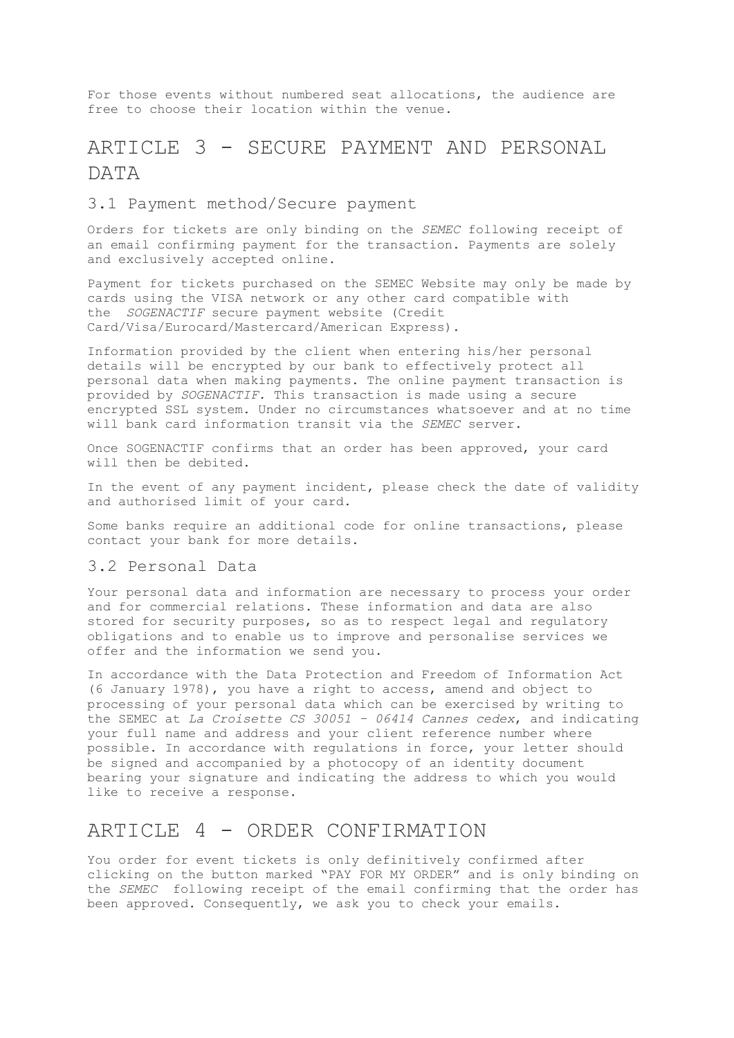For those events without numbered seat allocations, the audience are free to choose their location within the venue.

# ARTICLE 3 - SECURE PAYMENT AND PERSONAL DATA

### 3.1 Payment method/Secure payment

Orders for tickets are only binding on the *SEMEC* following receipt of an email confirming payment for the transaction. Payments are solely and exclusively accepted online.

Payment for tickets purchased on the SEMEC Website may only be made by cards using the VISA network or any other card compatible with the *SOGENACTIF* secure payment website (Credit Card/Visa/Eurocard/Mastercard/American Express).

Information provided by the client when entering his/her personal details will be encrypted by our bank to effectively protect all personal data when making payments. The online payment transaction is provided by *SOGENACTIF.* This transaction is made using a secure encrypted SSL system. Under no circumstances whatsoever and at no time will bank card information transit via the *SEMEC* server.

Once SOGENACTIF confirms that an order has been approved, your card will then be debited.

In the event of any payment incident, please check the date of validity and authorised limit of your card.

Some banks require an additional code for online transactions, please contact your bank for more details.

### 3.2 Personal Data

Your personal data and information are necessary to process your order and for commercial relations. These information and data are also stored for security purposes, so as to respect legal and regulatory obligations and to enable us to improve and personalise services we offer and the information we send you.

In accordance with the Data Protection and Freedom of Information Act (6 January 1978), you have a right to access, amend and object to processing of your personal data which can be exercised by writing to the SEMEC at *La Croisette CS 30051 – 06414 Cannes cedex*, and indicating your full name and address and your client reference number where possible. In accordance with regulations in force, your letter should be signed and accompanied by a photocopy of an identity document bearing your signature and indicating the address to which you would like to receive a response.

### ARTICLE 4 - ORDER CONFIRMATION

You order for event tickets is only definitively confirmed after clicking on the button marked "PAY FOR MY ORDER" and is only binding on the *SEMEC* following receipt of the email confirming that the order has been approved. Consequently, we ask you to check your emails.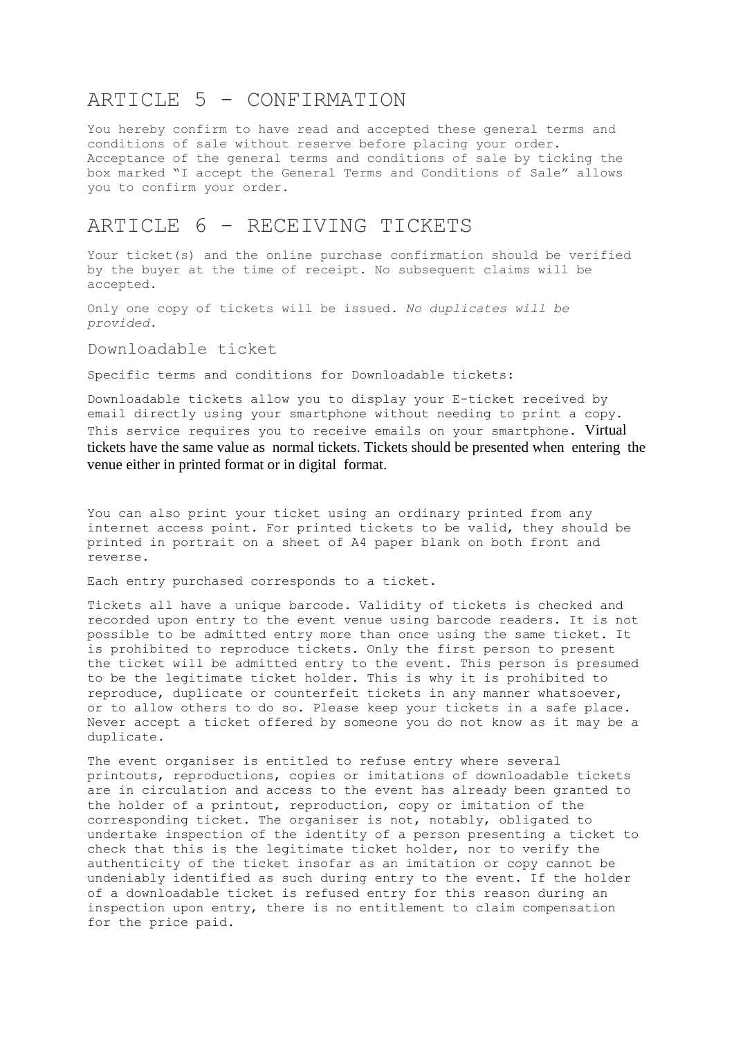# ARTICLE 5 - CONFIRMATION

You hereby confirm to have read and accepted these general terms and conditions of sale without reserve before placing your order. Acceptance of the general terms and conditions of sale by ticking the box marked "I accept the General Terms and Conditions of Sale" allows you to confirm your order.

### ARTICLE 6 - RECEIVING TICKETS

Your ticket(s) and the online purchase confirmation should be verified by the buyer at the time of receipt. No subsequent claims will be accepted.

Only one copy of tickets will be issued*. No duplicates will be provided.*

#### Downloadable ticket

Specific terms and conditions for Downloadable tickets:

Downloadable tickets allow you to display your E-ticket received by email directly using your smartphone without needing to print a copy. This service requires you to receive emails on your smartphone. Virtual tickets have the same value as normal tickets. Tickets should be presented when entering the venue either in printed format or in digital format.

You can also print your ticket using an ordinary printed from any internet access point. For printed tickets to be valid, they should be printed in portrait on a sheet of A4 paper blank on both front and reverse.

Each entry purchased corresponds to a ticket.

Tickets all have a unique barcode. Validity of tickets is checked and recorded upon entry to the event venue using barcode readers. It is not possible to be admitted entry more than once using the same ticket. It is prohibited to reproduce tickets. Only the first person to present the ticket will be admitted entry to the event. This person is presumed to be the legitimate ticket holder. This is why it is prohibited to reproduce, duplicate or counterfeit tickets in any manner whatsoever, or to allow others to do so. Please keep your tickets in a safe place. Never accept a ticket offered by someone you do not know as it may be a duplicate.

The event organiser is entitled to refuse entry where several printouts, reproductions, copies or imitations of downloadable tickets are in circulation and access to the event has already been granted to the holder of a printout, reproduction, copy or imitation of the corresponding ticket. The organiser is not, notably, obligated to undertake inspection of the identity of a person presenting a ticket to check that this is the legitimate ticket holder, nor to verify the authenticity of the ticket insofar as an imitation or copy cannot be undeniably identified as such during entry to the event. If the holder of a downloadable ticket is refused entry for this reason during an inspection upon entry, there is no entitlement to claim compensation for the price paid.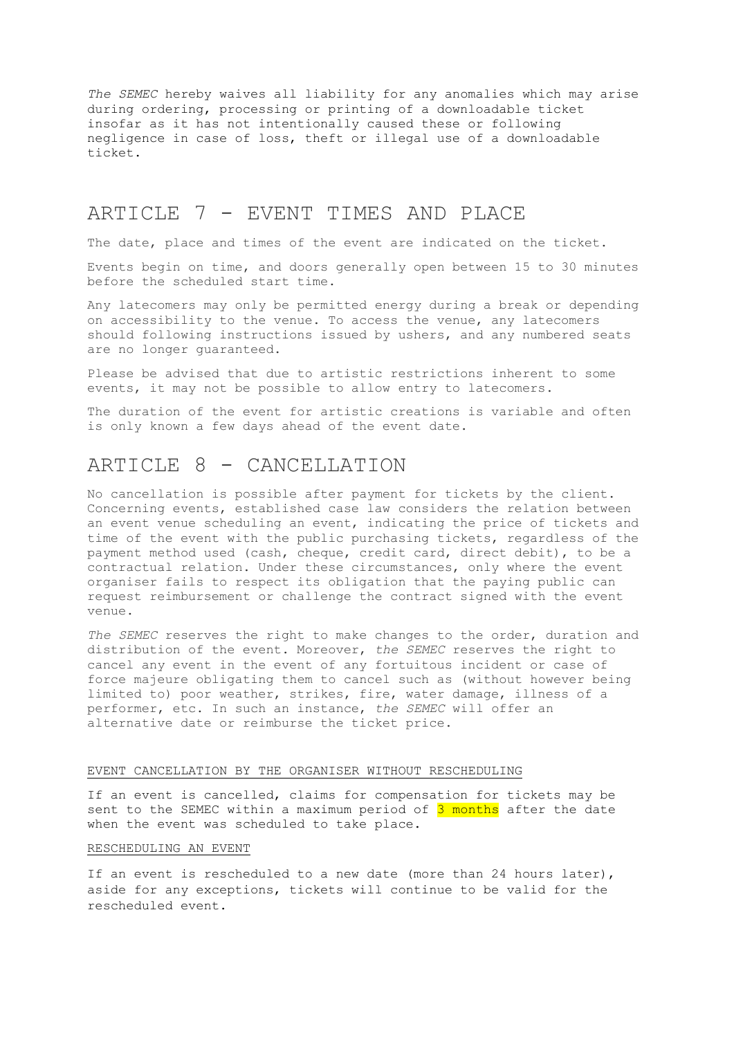*The SEMEC* hereby waives all liability for any anomalies which may arise during ordering, processing or printing of a downloadable ticket insofar as it has not intentionally caused these or following negligence in case of loss, theft or illegal use of a downloadable ticket.

## ARTICLE 7 - EVENT TIMES AND PLACE

The date, place and times of the event are indicated on the ticket.

Events begin on time, and doors generally open between 15 to 30 minutes before the scheduled start time.

Any latecomers may only be permitted energy during a break or depending on accessibility to the venue. To access the venue, any latecomers should following instructions issued by ushers, and any numbered seats are no longer guaranteed.

Please be advised that due to artistic restrictions inherent to some events, it may not be possible to allow entry to latecomers.

The duration of the event for artistic creations is variable and often is only known a few days ahead of the event date.

# ARTICLE 8 - CANCELLATION

No cancellation is possible after payment for tickets by the client. Concerning events, established case law considers the relation between an event venue scheduling an event, indicating the price of tickets and time of the event with the public purchasing tickets, regardless of the payment method used (cash, cheque, credit card, direct debit), to be a contractual relation. Under these circumstances, only where the event organiser fails to respect its obligation that the paying public can request reimbursement or challenge the contract signed with the event venue.

*The SEMEC* reserves the right to make changes to the order, duration and distribution of the event. Moreover, *the SEMEC* reserves the right to cancel any event in the event of any fortuitous incident or case of force majeure obligating them to cancel such as (without however being limited to) poor weather, strikes, fire, water damage, illness of a performer, etc. In such an instance, *the SEMEC* will offer an alternative date or reimburse the ticket price.

#### EVENT CANCELLATION BY THE ORGANISER WITHOUT RESCHEDULING

If an event is cancelled, claims for compensation for tickets may be sent to the SEMEC within a maximum period of 3 months after the date when the event was scheduled to take place.

#### RESCHEDULING AN EVENT

If an event is rescheduled to a new date (more than 24 hours later), aside for any exceptions, tickets will continue to be valid for the rescheduled event.